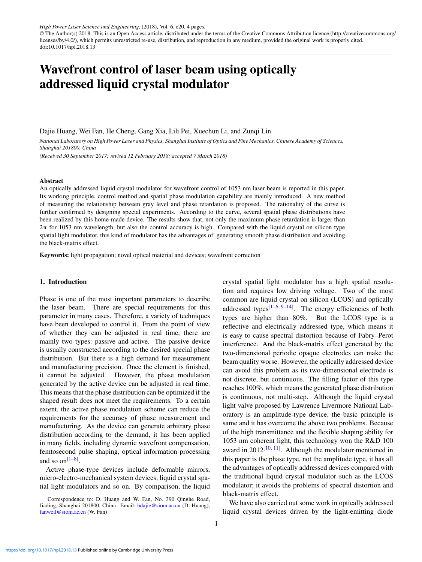*High Power Laser Science and Engineering*, (2018), Vol. 6, e20, 4 pages. © The Author(s) 2018. This is an Open Access article, distributed under the terms of the Creative Commons Attribution licence [\(http://creativecommons.org/](http://creativecommons.org/licenses/by/4.0/) [licenses/by/4.0/\)](http://creativecommons.org/licenses/by/4.0/), which permits unrestricted re-use, distribution, and reproduction in any medium, provided the original work is properly cited. doi:10.1017/hpl.2018.13

# Wavefront control of laser beam using optically addressed liquid crystal modulator

Dajie Huang, Wei Fan, He Cheng, Gang Xia, Lili Pei, Xuechun Li, and Zunqi Lin

*National Laboratory on High Power Laser and Physics, Shanghai Institute of Optics and Fine Mechanics, Chinese Academy of Sciences, Shanghai 201800, China*

*(Received 30 September 2017; revised 12 February 2018; accepted 7 March 2018)*

#### Abstract

An optically addressed liquid crystal modulator for wavefront control of 1053 nm laser beam is reported in this paper. Its working principle, control method and spatial phase modulation capability are mainly introduced. A new method of measuring the relationship between gray level and phase retardation is proposed. The rationality of the curve is further confirmed by designing special experiments. According to the curve, several spatial phase distributions have been realized by this home-made device. The results show that, not only the maximum phase retardation is larger than 2π for 1053 nm wavelength, but also the control accuracy is high. Compared with the liquid crystal on silicon type spatial light modulator, this kind of modulator has the advantages of generating smooth phase distribution and avoiding the black-matrix effect.

Keywords: light propagation; novel optical material and devices; wavefront correction

## 1. Introduction

Phase is one of the most important parameters to describe the laser beam. There are special requirements for this parameter in many cases. Therefore, a variety of techniques have been developed to control it. From the point of view of whether they can be adjusted in real time, there are mainly two types: passive and active. The passive device is usually constructed according to the desired special phase distribution. But there is a high demand for measurement and manufacturing precision. Once the element is finished, it cannot be adjusted. However, the phase modulation generated by the active device can be adjusted in real time. This means that the phase distribution can be optimized if the shaped result does not meet the requirements. To a certain extent, the active phase modulation scheme can reduce the requirements for the accuracy of phase measurement and manufacturing. As the device can generate arbitrary phase distribution according to the demand, it has been applied in many fields, including dynamic wavefront compensation, femtosecond pulse shaping, optical information processing and so on<sup>[\[1](#page-3-0)[–8\]](#page-3-1)</sup>.

Active phase-type devices include deformable mirrors, micro-electro-mechanical system devices, liquid crystal spatial light modulators and so on. By comparison, the liquid crystal spatial light modulator has a high spatial resolution and requires low driving voltage. Two of the most common are liquid crystal on silicon (LCOS) and optically addressed types<sup>[\[1](#page-3-0)-6, [9](#page-3-3)-14]</sup>. The energy efficiencies of both types are higher than 80%. But the LCOS type is a reflective and electrically addressed type, which means it is easy to cause spectral distortion because of Fabry–Perot interference. And the black-matrix effect generated by the two-dimensional periodic opaque electrodes can make the beam quality worse. However, the optically addressed device can avoid this problem as its two-dimensional electrode is not discrete, but continuous. The filling factor of this type reaches 100%, which means the generated phase distribution is continuous, not multi-step. Although the liquid crystal light valve proposed by Lawrence Livermore National Laboratory is an amplitude-type device, the basic principle is same and it has overcome the above two problems. Because of the high transmittance and the flexible shaping ability for 1053 nm coherent light, this technology won the R&D 100 award in  $2012^{[10, 11]}$  $2012^{[10, 11]}$  $2012^{[10, 11]}$  $2012^{[10, 11]}$  $2012^{[10, 11]}$ . Although the modulator mentioned in this paper is the phase type, not the amplitude type, it has all the advantages of optically addressed devices compared with the traditional liquid crystal modulator such as the LCOS modulator; it avoids the problems of spectral distortion and black-matrix effect.

We have also carried out some work in optically addressed liquid crystal devices driven by the light-emitting diode

Correspondence to: D. Huang and W. Fan, No. 390 Qinghe Road, Jiading, Shanghai 201800, China. Email: [hdajie@siom.ac.cn](mailto:hdajie@siom.ac.cn) (D. Huang), [fanweil@siom.ac.cn](mailto:fanweil@siom.ac.cn) (W. Fan)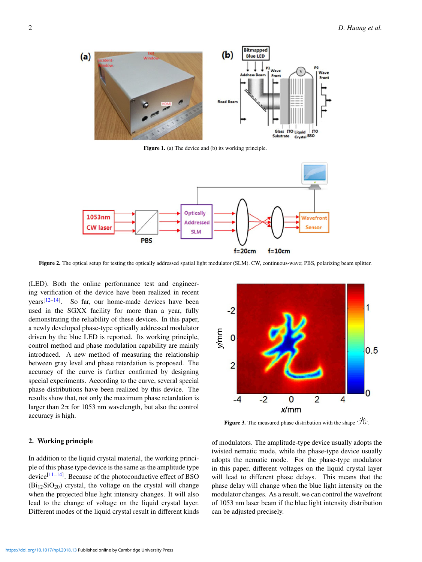<span id="page-1-0"></span>

Figure 1. (a) The device and (b) its working principle.

<span id="page-1-1"></span>

Figure 2. The optical setup for testing the optically addressed spatial light modulator (SLM). CW, continuous-wave; PBS, polarizing beam splitter.

(LED). Both the online performance test and engineering verification of the device have been realized in recent years<sup>[\[12](#page-3-7)[–14\]](#page-3-4)</sup>. So far, our home-made devices have been used in the SGXX facility for more than a year, fully demonstrating the reliability of these devices. In this paper, a newly developed phase-type optically addressed modulator driven by the blue LED is reported. Its working principle, control method and phase modulation capability are mainly introduced. A new method of measuring the relationship between gray level and phase retardation is proposed. The accuracy of the curve is further confirmed by designing special experiments. According to the curve, several special phase distributions have been realized by this device. The results show that, not only the maximum phase retardation is larger than  $2\pi$  for 1053 nm wavelength, but also the control accuracy is high.

<span id="page-1-2"></span>

**Figure 3.** The measured phase distribution with the shape  $\forall$ .

### 2. Working principle

In addition to the liquid crystal material, the working principle of this phase type device is the same as the amplitude type device<sup>[\[11–](#page-3-6)[14\]](#page-3-4)</sup>. Because of the photoconductive effect of BSO  $(Bi_{12}SiO_{20})$  crystal, the voltage on the crystal will change when the projected blue light intensity changes. It will also lead to the change of voltage on the liquid crystal layer. Different modes of the liquid crystal result in different kinds of modulators. The amplitude-type device usually adopts the twisted nematic mode, while the phase-type device usually adopts the nematic mode. For the phase-type modulator in this paper, different voltages on the liquid crystal layer will lead to different phase delays. This means that the phase delay will change when the blue light intensity on the modulator changes. As a result, we can control the wavefront of 1053 nm laser beam if the blue light intensity distribution can be adjusted precisely.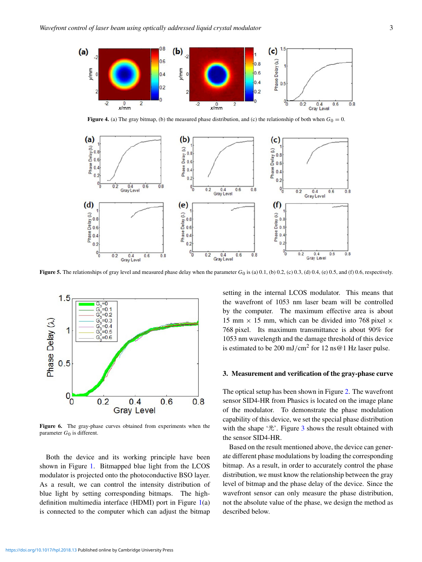<span id="page-2-0"></span>

**Figure 4.** (a) The gray bitmap, (b) the measured phase distribution, and (c) the relationship of both when  $G_0 = 0$ .

<span id="page-2-1"></span>

Figure 5. The relationships of gray level and measured phase delay when the parameter  $G_0$  is (a) 0.1, (b) 0.2, (c) 0.3, (d) 0.4, (e) 0.5, and (f) 0.6, respectively.

<span id="page-2-2"></span>

Figure 6. The gray-phase curves obtained from experiments when the parameter  $G_0$  is different.

Both the device and its working principle have been shown in Figure [1.](#page-1-0) Bitmapped blue light from the LCOS modulator is projected onto the photoconductive BSO layer. As a result, we can control the intensity distribution of blue light by setting corresponding bitmaps. The highdefinition multimedia interface (HDMI) port in Figure [1\(](#page-1-0)a) is connected to the computer which can adjust the bitmap setting in the internal LCOS modulator. This means that the wavefront of 1053 nm laser beam will be controlled by the computer. The maximum effective area is about 15 mm  $\times$  15 mm, which can be divided into 768 pixel  $\times$ 768 pixel. Its maximum transmittance is about 90% for 1053 nm wavelength and the damage threshold of this device is estimated to be 200 mJ/cm<sup>2</sup> for 12 ns@1 Hz laser pulse.

#### 3. Measurement and verification of the gray-phase curve

The optical setup has been shown in Figure [2.](#page-1-1) The wavefront sensor SID4-HR from Phasics is located on the image plane of the modulator. To demonstrate the phase modulation capability of this device, we set the special phase distribution with the shape  $\mathcal{H}'$ . Figure [3](#page-1-2) shows the result obtained with the sensor SID4-HR.

Based on the result mentioned above, the device can generate different phase modulations by loading the corresponding bitmap. As a result, in order to accurately control the phase distribution, we must know the relationship between the gray level of bitmap and the phase delay of the device. Since the wavefront sensor can only measure the phase distribution, not the absolute value of the phase, we design the method as described below.